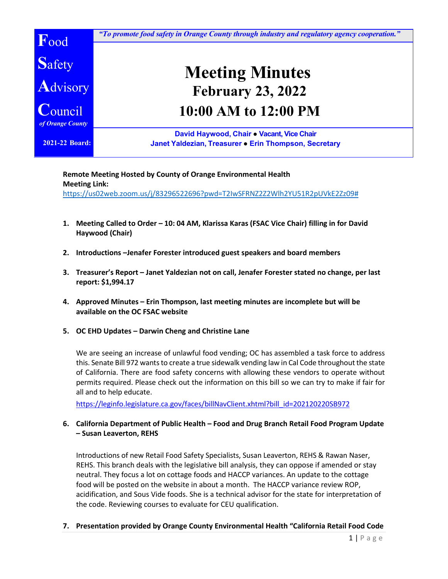

**Remote Meeting Hosted by County of Orange Environmental Health Meeting Link:**  [https://us02web.zoom.us/j/83296522696?pwd=T2IwSFRNZ2Z2Wlh2YU51R2pUVkE2Zz09#](https://us02web.zoom.us/j/83296522696?pwd=T2IwSFRNZ2Z2Wlh2YU51R2pUVkE2Zz09)

- **1. Meeting Called to Order – 10: 04 AM, Klarissa Karas (FSAC Vice Chair) filling in for David Haywood (Chair)**
- **2. Introductions –Jenafer Forester introduced guest speakers and board members**
- **3. Treasurer's Report – Janet Yaldezian not on call, Jenafer Forester stated no change, per last report: \$1,994.17**
- **4. Approved Minutes – Erin Thompson, last meeting minutes are incomplete but will be available on the OC FSAC website**
- **5. OC EHD Updates – Darwin Cheng and Christine Lane**

We are seeing an increase of unlawful food vending; OC has assembled a task force to address this. Senate Bill 972 wants to create a true sidewalk vending law in Cal Code throughout the state of California. There are food safety concerns with allowing these vendors to operate without permits required. Please check out the information on this bill so we can try to make if fair for all and to help educate.

[https://leginfo.legislature.ca.gov/faces/billNavClient.xhtml?bill\\_id=202120220SB972](https://leginfo.legislature.ca.gov/faces/billNavClient.xhtml?bill_id=202120220SB972)

## **6. California Department of Public Health – Food and Drug Branch Retail Food Program Update – Susan Leaverton, REHS**

Introductions of new Retail Food Safety Specialists, Susan Leaverton, REHS & Rawan Naser, REHS. This branch deals with the legislative bill analysis, they can oppose if amended or stay neutral. They focus a lot on cottage foods and HACCP variances. An update to the cottage food will be posted on the website in about a month. The HACCP variance review ROP, acidification, and Sous Vide foods. She is a technical advisor for the state for interpretation of the code. Reviewing courses to evaluate for CEU qualification.

**7. Presentation provided by Orange County Environmental Health "California Retail Food Code**